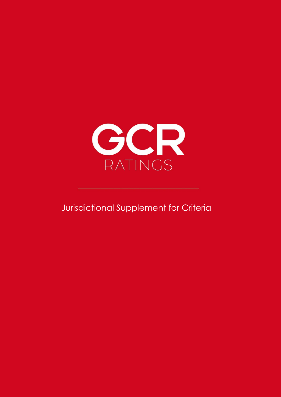

Jurisdictional Supplement for Criteria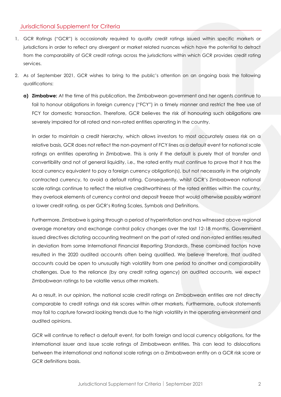- 1. GCR Ratings ("GCR") is occasionally required to qualify credit ratings issued within specific markets or jurisdictions in order to reflect any divergent or market related nuances which have the potential to detract from the comparability of GCR credit ratings across the jurisdictions within which GCR provides credit rating services.
- 2. As of September 2021, GCR wishes to bring to the public's attention on an ongoing basis the following qualifications:
	- **a) Zimbabwe:** At the time of this publication, the Zimbabwean government and her agents continue to fail to honour obligations in foreign currency ("FCY") in a timely manner and restrict the free use of FCY for domestic transaction. Therefore, GCR believes the risk of honouring such obligations are severely impaired for all rated and non-rated entities operating in the country.

In order to maintain a credit hierarchy, which allows investors to most accurately assess risk on a relative basis, GCR does not reflect the non-payment of FCY lines as a default event for national scale ratings on entities operating in Zimbabwe. This is only if the default is purely that of transfer and convertibility and not of general liquidity, i.e., the rated entity must continue to prove that it has the local currency equivalent to pay a foreign currency obligation(s), but not necessarily in the originally contracted currency, to avoid a default rating. Consequently, whilst GCR's Zimbabwean national scale ratings continue to reflect the relative creditworthiness of the rated entities within the country, they overlook elements of currency control and deposit freeze that would otherwise possibly warrant a lower credit rating, as per GCR's Rating Scales, Symbols and Definitions.

Furthermore, Zimbabwe is going through a period of hyperinflation and has witnessed above regional average monetary and exchange control policy changes over the last 12-18 months. Government issued directives dictating accounting treatment on the part of rated and non-rated entities resulted in deviation from some International Financial Reporting Standards. These combined factors have resulted in the 2020 audited accounts often being qualified. We believe therefore, that audited accounts could be open to unusually high volatility from one period to another and comparability challenges. Due to the reliance (by any credit rating agency) on audited accounts, we expect Zimbabwean ratings to be volatile versus other markets.

As a result, in our opinion, the national scale credit ratings on Zimbabwean entities are not directly comparable to credit ratings and risk scores within other markets. Furthermore, outlook statements may fail to capture forward looking trends due to the high volatility in the operating environment and audited opinions.

GCR will continue to reflect a default event, for both foreign and local currency obligations, for the international issuer and issue scale ratings of Zimbabwean entities. This can lead to dislocations between the international and national scale ratings on a Zimbabwean entity on a GCR risk score or GCR definitions basis.